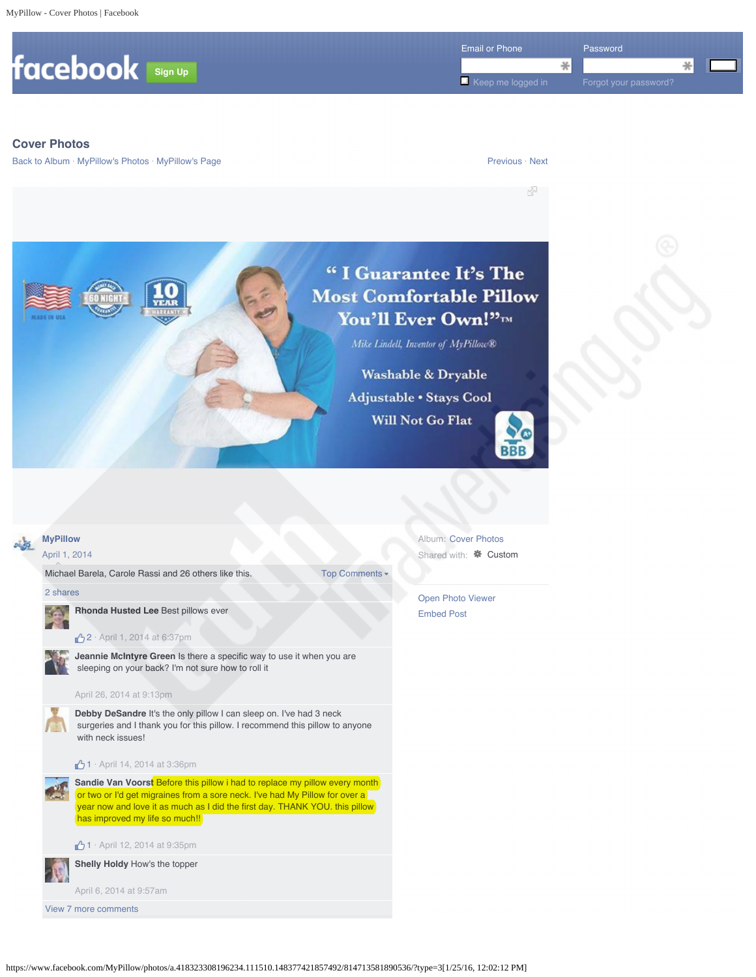

## **Cover Photos**

Back to Album · MyPillow's Photos · MyPillow's Page Previous · Next Previous · Next

## "I Guarantee It's The **Most Comfortable Pillow** You'll Ever Own!"

Mike Lindell, Inventor of MyPillow®

**Washable & Dryable** Adjustable . Stays Cool **Will Not Go Flat** 

Top Comments



☆



## April 1, 2014

Michael Barela, Carole Rassi and 26 others like this.

2 shares

**Rhonda Husted Lee** Best pillows ever **Rhonda Husted Lee** Best pillows ever **ANTI** 



**2** · April 1, 2014 at 6:37pm

**Jeannie McIntyre Green** Is there a specific way to use it when you are sleeping on your back? I'm not sure how to roll it

## April 26, 2014 at 9:13pm

**Debby DeSandre** It's the only pillow I can sleep on. I've had 3 neck surgeries and I thank you for this pillow. I recommend this pillow to anyone with neck issues!



**Sandie Van Voorst** Before this pillow i had to replace my pillow every month or two or I'd get migraines from a sore neck. I've had My Pillow for over a year now and love it as much as I did the first day. THANK YOU. this pillow has improved my life so much!!

1 · April 12, 2014 at 9:35pm

**Shelly Holdy** How's the topper

April 6, 2014 at 9:57am

View 7 more comments

Album: Cover Photos Shared with: **\*** Custom

Open Photo Viewer